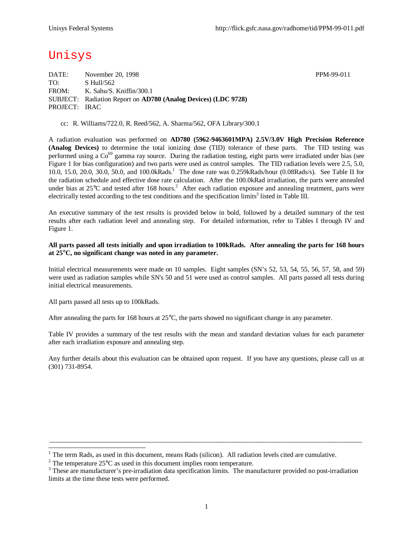# Unisys

DATE: November 20, 1998 PPM-99-011 TO: S Hull/562 FROM: K. Sahu/S. Kniffin/300.1 SUBJECT: Radiation Report on **AD780 (Analog Devices) (LDC 9728)** PROJECT: IRAC

cc: R. Williams/722.0, R. Reed/562, A. Sharma/562, OFA Library/300.1

A radiation evaluation was performed on **AD780 (5962-9463601MPA) 2.5V/3.0V High Precision Reference (Analog Devices)** to determine the total ionizing dose (TID) tolerance of these parts. The TID testing was performed using a  $Co^{60}$  gamma ray source. During the radiation testing, eight parts were irradiated under bias (see Figure 1 for bias configuration) and two parts were used as control samples. The TID radiation levels were 2.5, 5.0, 10.0, 15.0, 20.0, 30.0, 50.0, and 100.0kRads.<sup>1</sup> The dose rate was 0.259kRads/hour (0.08Rads/s). See Table II for the radiation schedule and effective dose rate calculation. After the 100.0kRad irradiation, the parts were annealed under bias at  $25^{\circ}$ C and tested after 168 hours.<sup>2</sup> After each radiation exposure and annealing treatment, parts were electrically tested according to the test conditions and the specification limits<sup>3</sup> listed in Table III.

An executive summary of the test results is provided below in bold, followed by a detailed summary of the test results after each radiation level and annealing step. For detailed information, refer to Tables I through IV and Figure 1.

#### **All parts passed all tests initially and upon irradiation to 100kRads. After annealing the parts for 168 hours at 25°C, no significant change was noted in any parameter.**

Initial electrical measurements were made on 10 samples. Eight samples (SN's 52, 53, 54, 55, 56, 57, 58, and 59) were used as radiation samples while SN's 50 and 51 were used as control samples. All parts passed all tests during initial electrical measurements.

All parts passed all tests up to 100kRads.

1

After annealing the parts for 168 hours at  $25^{\circ}$ C, the parts showed no significant change in any parameter.

Table IV provides a summary of the test results with the mean and standard deviation values for each parameter after each irradiation exposure and annealing step.

Any further details about this evaluation can be obtained upon request. If you have any questions, please call us at (301) 731-8954.

 $\_$  ,  $\_$  ,  $\_$  ,  $\_$  ,  $\_$  ,  $\_$  ,  $\_$  ,  $\_$  ,  $\_$  ,  $\_$  ,  $\_$  ,  $\_$  ,  $\_$  ,  $\_$  ,  $\_$  ,  $\_$  ,  $\_$  ,  $\_$  ,  $\_$  ,  $\_$  ,  $\_$  ,  $\_$  ,  $\_$  ,  $\_$  ,  $\_$  ,  $\_$  ,  $\_$  ,  $\_$  ,  $\_$  ,  $\_$  ,  $\_$  ,  $\_$  ,  $\_$  ,  $\_$  ,  $\_$  ,  $\_$  ,  $\_$  ,

 $1$  The term Rads, as used in this document, means Rads (silicon). All radiation levels cited are cumulative.

<sup>&</sup>lt;sup>2</sup> The temperature  $25^{\circ}$ C as used in this document implies room temperature.

 $3$  These are manufacturer's pre-irradiation data specification limits. The manufacturer provided no post-irradiation limits at the time these tests were performed.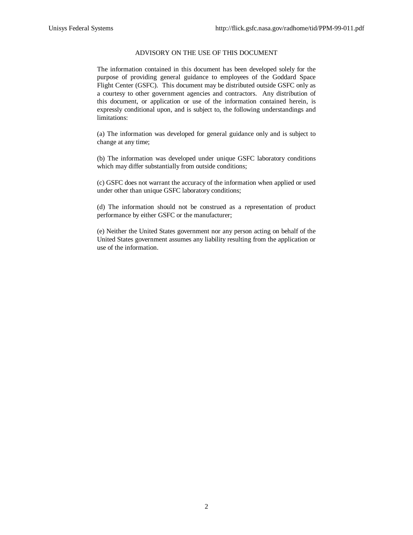### ADVISORY ON THE USE OF THIS DOCUMENT

The information contained in this document has been developed solely for the purpose of providing general guidance to employees of the Goddard Space Flight Center (GSFC). This document may be distributed outside GSFC only as a courtesy to other government agencies and contractors. Any distribution of this document, or application or use of the information contained herein, is expressly conditional upon, and is subject to, the following understandings and limitations:

(a) The information was developed for general guidance only and is subject to change at any time;

(b) The information was developed under unique GSFC laboratory conditions which may differ substantially from outside conditions;

(c) GSFC does not warrant the accuracy of the information when applied or used under other than unique GSFC laboratory conditions;

(d) The information should not be construed as a representation of product performance by either GSFC or the manufacturer;

(e) Neither the United States government nor any person acting on behalf of the United States government assumes any liability resulting from the application or use of the information.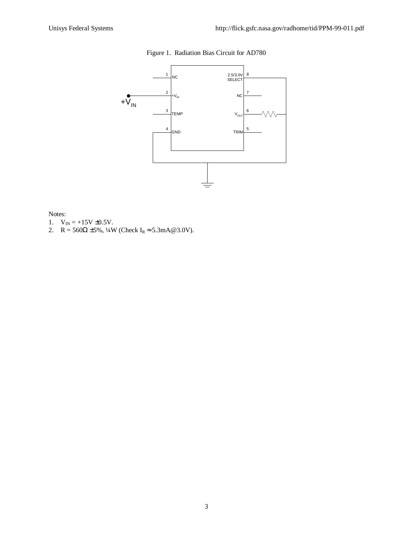# Figure 1. Radiation Bias Circuit for AD780



#### Notes:

- 1.  $V_{IN} = +15V \pm 0.5V$ .
- 2. R = 560 $\Omega$  ±5%, 1/4W (Check I<sub>R</sub>  $\approx$  5.3mA@3.0V).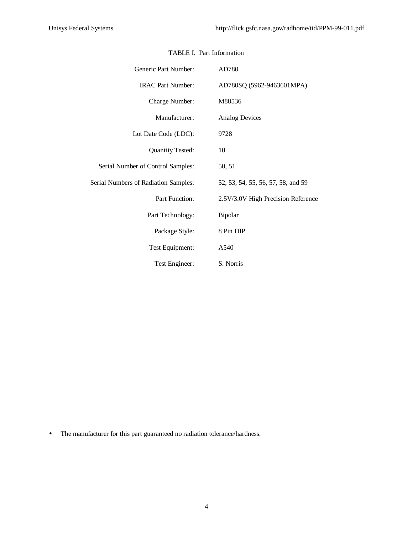| Generic Part Number:                 | AD780                              |
|--------------------------------------|------------------------------------|
| <b>IRAC Part Number:</b>             | AD780SQ (5962-9463601MPA)          |
| Charge Number:                       | M88536                             |
| Manufacturer:                        | <b>Analog Devices</b>              |
| Lot Date Code (LDC):                 | 9728                               |
| <b>Quantity Tested:</b>              | 10                                 |
| Serial Number of Control Samples:    | 50, 51                             |
| Serial Numbers of Radiation Samples: | 52, 53, 54, 55, 56, 57, 58, and 59 |
| Part Function:                       | 2.5V/3.0V High Precision Reference |
| Part Technology:                     | Bipolar                            |
| Package Style:                       | 8 Pin DIP                          |
| Test Equipment:                      | A540                               |
| Test Engineer:                       | S. Norris                          |

### TABLE I. Part Information

• The manufacturer for this part guaranteed no radiation tolerance/hardness.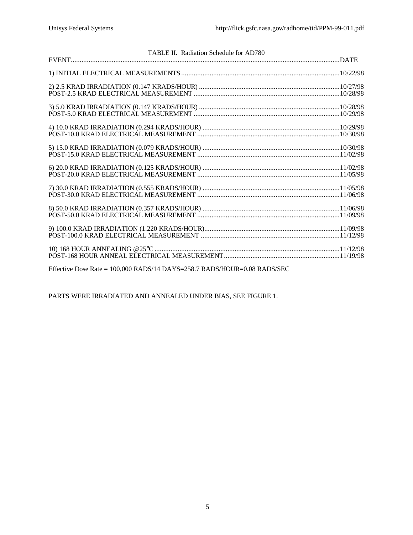| TABLE II. Radiation Schedule for AD780 |  |
|----------------------------------------|--|
|                                        |  |
|                                        |  |
|                                        |  |
|                                        |  |
|                                        |  |
|                                        |  |
|                                        |  |
|                                        |  |
|                                        |  |
|                                        |  |
|                                        |  |
|                                        |  |

Effective Dose Rate = 100,000 RADS/14 DAYS=258.7 RADS/HOUR=0.08 RADS/SEC

PARTS WERE IRRADIATED AND ANNEALED UNDER BIAS, SEE FIGURE 1.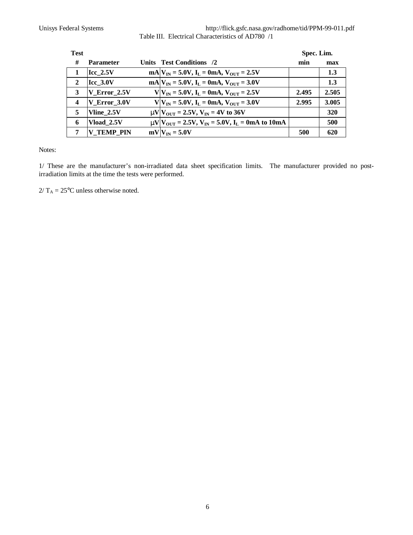Unisys Federal Systems http://flick.gsfc.nasa.gov/radhome/tid/PPM-99-011.pdf Table III. Electrical Characteristics of AD780 /1

| <b>Test</b>      |                   |                                                                                        | Spec. Lim. |       |
|------------------|-------------------|----------------------------------------------------------------------------------------|------------|-------|
| #                | <b>Parameter</b>  | Units Test Conditions /2                                                               | min        | max   |
|                  | $Icc$ 2.5V        | $mA V_{IN} = 5.0V$ , $I_L = 0mA$ , $V_{OUT} = 2.5V$                                    |            | 1.3   |
| $\overline{2}$   | $Icc$ 3.0V        | $mA V_{IN} = 5.0V$ , $I_L = 0mA$ , $V_{OUT} = 3.0V$                                    |            | 1.3   |
| 3                | V Error 2.5V      | $V V_{IN} = 5.0V$ , $I_L = 0mA$ , $V_{OUT} = 2.5V$                                     | 2.495      | 2.505 |
| $\boldsymbol{4}$ | V Error 3.0V      | $V V_{IN} = 5.0V$ , $I_L = 0mA$ , $V_{OUT} = 3.0V$                                     | 2.995      | 3.005 |
| 5                | Vline 2.5V        | $mV$ $V_{\text{OUT}} = 2.5V$ , $V_{\text{IN}} = 4V$ to 36V                             |            | 320   |
| 6                | Vload 2.5V        | $mV$ $V_{\text{OUT}} = 2.5V$ , $V_{\text{IN}} = 5.0V$ , $I_{\text{L}} = 0$ mA to 10 mA |            | 500   |
| 7                | <b>V TEMP PIN</b> | $mV$ <sub>IN</sub> = 5.0V                                                              | 500        | 620   |

Notes:

1/ These are the manufacturer's non-irradiated data sheet specification limits. The manufacturer provided no postirradiation limits at the time the tests were performed.

 $2/T_A = 25$ °C unless otherwise noted.